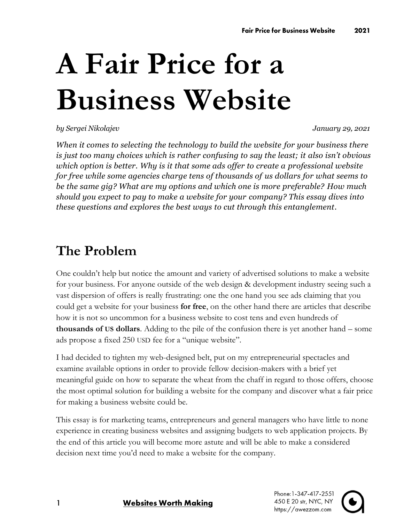# **A Fair Price for a Business Website**

*by Sergei Nikolajev January 29, 2021*

*When it comes to selecting the technology to build the website for your business there is just too many choices which is rather confusing to say the least; it also isn't obvious which option is better. Why is it that some ads offer to create a professional website for free while some agencies charge tens of thousands of us dollars for what seems to be the same gig? What are my options and which one is more preferable? How much should you expect to pay to make a website for your company? This essay dives into these questions and explores the best ways to cut through this entanglement.*

## **The Problem**

One couldn't help but notice the amount and variety of advertised solutions to make a website for your business. For anyone outside of the web design & development industry seeing such a vast dispersion of offers is really frustrating: one the one hand you see ads claiming that you could get a website for your business **for free**, on the other hand there are articles that describe how it is not so uncommon for a business website to cost tens and even hundreds of **thousands of US dollars**. Adding to the pile of the confusion there is yet another hand – some ads propose a fixed 250 USD fee for a "unique website".

I had decided to tighten my web-designed belt, put on my entrepreneurial spectacles and examine available options in order to provide fellow decision-makers with a brief yet meaningful guide on how to separate the wheat from the chaff in regard to those offers, choose the most optimal solution for building a website for the company and discover what a fair price for making a business website could be.

This essay is for marketing teams, entrepreneurs and general managers who have little to none experience in creating business websites and assigning budgets to web application projects. By the end of this article you will become more astute and will be able to make a considered decision next time you'd need to make a website for the company.

Phone: 1-347-417-2551 450 E 20 str, NYC, NY https://awezzom.com



#### **Websites Worth Making**

 $\mathbf{1}$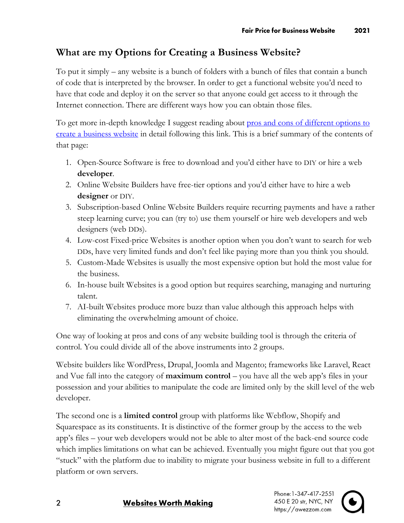#### **What are my Options for Creating a Business Website?**

To put it simply – any website is a bunch of folders with a bunch of files that contain a bunch of code that is interpreted by the browser. In order to get a functional website you'd need to have that code and deploy it on the server so that anyone could get access to it through the Internet connection. There are different ways how you can obtain those files.

To get more in-depth knowledge I suggest reading about pros and cons of different options to [create a business website](https://awezzom.com/blog/web-development/different-ways-build-business-website-guide) in detail following this link. This is a brief summary of the contents of that page:

- 1. Open-Source Software is free to download and you'd either have to DIY or hire a web **developer**.
- 2. Online Website Builders have free-tier options and you'd either have to hire a web **designer** or DIY.
- 3. Subscription-based Online Website Builders require recurring payments and have a rather steep learning curve; you can (try to) use them yourself or hire web developers and web designers (web DDs).
- 4. Low-cost Fixed-price Websites is another option when you don't want to search for web DDs, have very limited funds and don't feel like paying more than you think you should.
- 5. Custom-Made Websites is usually the most expensive option but hold the most value for the business.
- 6. In-house built Websites is a good option but requires searching, managing and nurturing talent.
- 7. AI-built Websites produce more buzz than value although this approach helps with eliminating the overwhelming amount of choice.

One way of looking at pros and cons of any website building tool is through the criteria of control. You could divide all of the above instruments into 2 groups.

Website builders like WordPress, Drupal, Joomla and Magento; frameworks like Laravel, React and Vue fall into the category of **maximum control** – you have all the web app's files in your possession and your abilities to manipulate the code are limited only by the skill level of the web developer.

The second one is a **limited control** group with platforms like Webflow, Shopify and Squarespace as its constituents. It is distinctive of the former group by the access to the web app's files – your web developers would not be able to alter most of the back-end source code which implies limitations on what can be achieved. Eventually you might figure out that you got "stuck" with the platform due to inability to migrate your business website in full to a different platform or own servers.

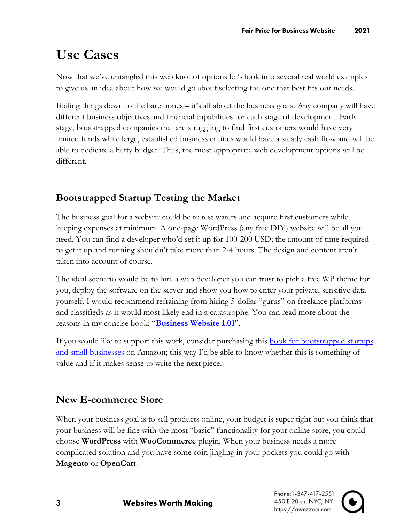# **Use Cases**

Now that we've untangled this web knot of options let's look into several real world examples to give us an idea about how we would go about selecting the one that best fits our needs.

Boiling things down to the bare bones – it's all about the business goals. Any company will have different business objectives and financial capabilities for each stage of development. Early stage, bootstrapped companies that are struggling to find first customers would have very limited funds while large, established business entities would have a steady cash flow and will be able to dedicate a hefty budget. Thus, the most appropriate web development options will be different.

## **Bootstrapped Startup Testing the Market**

The business goal for a website could be to test waters and acquire first customers while keeping expenses at minimum. A one-page WordPress (any free DIY) website will be all you need. You can find a developer who'd set it up for 100-200 USD; the amount of time required to get it up and running shouldn't take more than 2-4 hours. The design and content aren't taken into account of course.

The ideal scenario would be to hire a web developer you can trust to pick a free WP theme for you, deploy the software on the server and show you how to enter your private, sensitive data yourself. I would recommend refraining from hiring 5-dollar "gurus" on freelance platforms and classifieds as it would most likely end in a catastrophe. You can read more about the reasons in my concise book: "**[Business Website 1.01](https://awezzom.com/blog/seed-stage/business-website-101-seed-stage-startup-small-business)**".

If you would like to support this work, consider purchasing this <u>book for bootstrapped startups</u> [and small businesses](https://www.amazon.com/Business-Website-1-01-hands-real-world-ebook/dp/B08Q3ZGM3D) on Amazon; this way I'd be able to know whether this is something of value and if it makes sense to write the next piece.

## **New E-commerce Store**

When your business goal is to sell products online, your budget is super tight but you think that your business will be fine with the most "basic" functionality for your online store, you could choose **WordPress** with **WooCommerce** plugin. When your business needs a more complicated solution and you have some coin jingling in your pockets you could go with **Magento** or **OpenCart**.

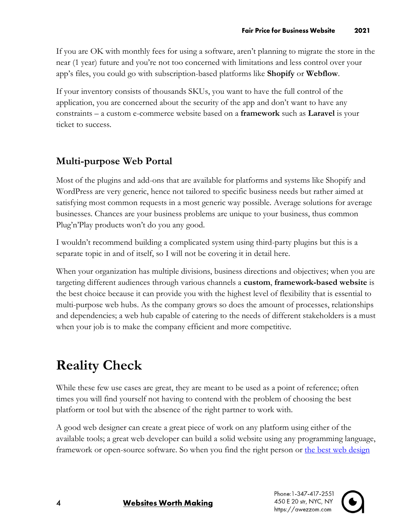If you are OK with monthly fees for using a software, aren't planning to migrate the store in the near (1 year) future and you're not too concerned with limitations and less control over your app's files, you could go with subscription-based platforms like **Shopify** or **Webflow**.

If your inventory consists of thousands SKUs, you want to have the full control of the application, you are concerned about the security of the app and don't want to have any constraints – a custom e-commerce website based on a **framework** such as **Laravel** is your ticket to success.

## **Multi-purpose Web Portal**

Most of the plugins and add-ons that are available for platforms and systems like Shopify and WordPress are very generic, hence not tailored to specific business needs but rather aimed at satisfying most common requests in a most generic way possible. Average solutions for average businesses. Chances are your business problems are unique to your business, thus common Plug'n'Play products won't do you any good.

I wouldn't recommend building a complicated system using third-party plugins but this is a separate topic in and of itself, so I will not be covering it in detail here.

When your organization has multiple divisions, business directions and objectives; when you are targeting different audiences through various channels a **custom**, **framework-based website** is the best choice because it can provide you with the highest level of flexibility that is essential to multi-purpose web hubs. As the company grows so does the amount of processes, relationships and dependencies; a web hub capable of catering to the needs of different stakeholders is a must when your job is to make the company efficient and more competitive.

# **Reality Check**

While these few use cases are great, they are meant to be used as a point of reference; often times you will find yourself not having to contend with the problem of choosing the best platform or tool but with the absence of the right partner to work with.

A good web designer can create a great piece of work on any platform using either of the available tools; a great web developer can build a solid website using any programming language, framework or open-source software. So when you find the right person or the best web design

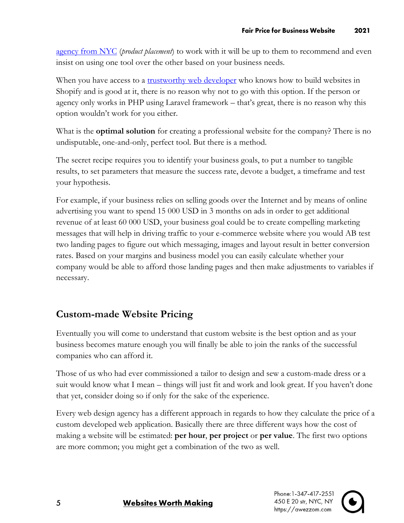agency from NYC (*product placement*) to work with it will be up to them to recommend and even insist on using one tool over the other based on your business needs.

When you have access to a <u>trustworthy web developer</u> who knows how to build websites in Shopify and is good at it, there is no reason why not to go with this option. If the person or agency only works in PHP using Laravel framework – that's great, there is no reason why this option wouldn't work for you either.

What is the **optimal solution** for creating a professional website for the company? There is no undisputable, one-and-only, perfect tool. But there is a method.

The secret recipe requires you to identify your business goals, to put a number to tangible results, to set parameters that measure the success rate, devote a budget, a timeframe and test your hypothesis.

For example, if your business relies on selling goods over the Internet and by means of online advertising you want to spend 15 000 USD in 3 months on ads in order to get additional revenue of at least 60 000 USD, your business goal could be to create compelling marketing messages that will help in driving traffic to your e-commerce website where you would AB test two landing pages to figure out which messaging, images and layout result in better conversion rates. Based on your margins and business model you can easily calculate whether your company would be able to afford those landing pages and then make adjustments to variables if necessary.

#### **Custom-made Website Pricing**

Eventually you will come to understand that custom website is the best option and as your business becomes mature enough you will finally be able to join the ranks of the successful companies who can afford it.

Those of us who had ever commissioned a tailor to design and sew a custom-made dress or a suit would know what I mean – things will just fit and work and look great. If you haven't done that yet, consider doing so if only for the sake of the experience.

Every web design agency has a different approach in regards to how they calculate the price of a custom developed web application. Basically there are three different ways how the cost of making a website will be estimated: **per hour**, **per project** or **per value**. The first two options are more common; you might get a combination of the two as well.

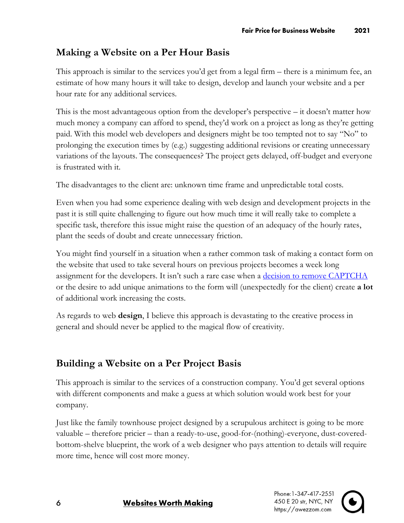## **Making a Website on a Per Hour Basis**

This approach is similar to the services you'd get from a legal firm – there is a minimum fee, an estimate of how many hours it will take to design, develop and launch your website and a per hour rate for any additional services.

This is the most advantageous option from the developer's perspective – it doesn't matter how much money a company can afford to spend, they'd work on a project as long as they're getting paid. With this model web developers and designers might be too tempted not to say "No" to prolonging the execution times by (e.g.) suggesting additional revisions or creating unnecessary variations of the layouts. The consequences? The project gets delayed, off-budget and everyone is frustrated with it.

The disadvantages to the client are: unknown time frame and unpredictable total costs.

Even when you had some experience dealing with web design and development projects in the past it is still quite challenging to figure out how much time it will really take to complete a specific task, therefore this issue might raise the question of an adequacy of the hourly rates, plant the seeds of doubt and create unnecessary friction.

You might find yourself in a situation when a rather common task of making a contact form on the website that used to take several hours on previous projects becomes a week long assignment for the developers. It isn't such a rare case when a [decision to remove CAPTCHA](https://www.linkedin.com/pulse/my-business-website-contact-form-gold-mine-spammers-sergei-nikolajev) or the desire to add unique animations to the form will (unexpectedly for the client) create **a lot** of additional work increasing the costs.

As regards to web **design**, I believe this approach is devastating to the creative process in general and should never be applied to the magical flow of creativity.

## **Building a Website on a Per Project Basis**

This approach is similar to the services of a construction company. You'd get several options with different components and make a guess at which solution would work best for your company.

Just like the family townhouse project designed by a scrupulous architect is going to be more valuable – therefore pricier – than a ready-to-use, good-for-(nothing)-everyone, dust-coveredbottom-shelve blueprint, the work of a web designer who pays attention to details will require more time, hence will cost more money.



**Websites Worth Making**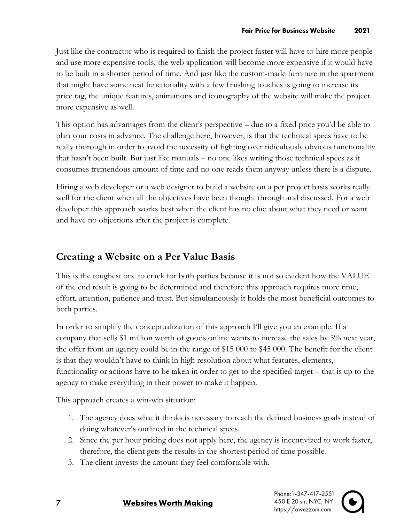Just like the contractor who is required to finish the project faster will have to hire more people and use more expensive tools, the web application will become more expensive if it would have to be built in a shorter period of time. And just like the custom-made furniture in the apartment that might have some neat functionality with a few finishing touches is going to increase its price tag, the unique features, animations and iconography of the website will make the project more expensive as well.

This option has advantages from the client's perspective – due to a fixed price you'd be able to plan your costs in advance. The challenge here, however, is that the technical specs have to be really thorough in order to avoid the necessity of fighting over ridiculously obvious functionality that hasn't been built. But just like manuals – no one likes writing those technical specs as it consumes tremendous amount of time and no one reads them anyway unless there is a dispute.

Hiring a web developer or a web designer to build a website on a per project basis works really well for the client when all the objectives have been thought through and discussed. For a web developer this approach works best when the client has no clue about what they need or want and have no objections after the project is complete.

#### **Creating a Website on a Per Value Basis**

This is the toughest one to crack for both parties because it is not so evident how the VALUE of the end result is going to be determined and therefore this approach requires more time, effort, attention, patience and trust. But simultaneously it holds the most beneficial outcomes to both parties.

In order to simplify the conceptualization of this approach I'll give you an example. If a company that sells \$1 million worth of goods online wants to increase the sales by 5% next year, the offer from an agency could be in the range of \$15 000 to \$45 000. The benefit for the client is that they wouldn't have to think in high resolution about what features, elements, functionality or actions have to be taken in order to get to the specified target – that is up to the agency to make everything in their power to make it happen.

This approach creates a win-win situation:

- 1. The agency does what it thinks is necessary to reach the defined business goals instead of doing whatever's outlined in the technical specs.
- 2. Since the per hour pricing does not apply here, the agency is incentivized to work faster, therefore, the client gets the results in the shortest period of time possible.
- 3. The client invests the amount they feel comfortable with.



**Websites Worth Making** 

 $\overline{7}$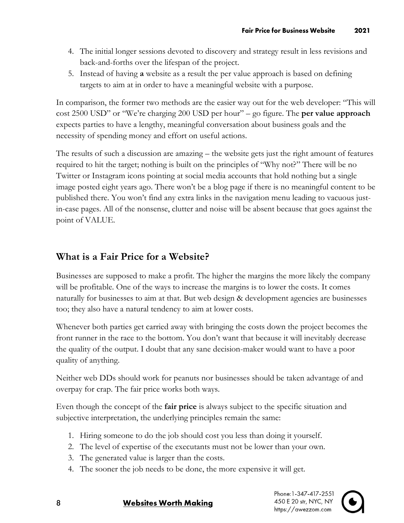- 4. The initial longer sessions devoted to discovery and strategy result in less revisions and back-and-forths over the lifespan of the project.
- 5. Instead of having **a** website as a result the per value approach is based on defining targets to aim at in order to have a meaningful website with a purpose.

In comparison, the former two methods are the easier way out for the web developer: "This will cost 2500 USD" or "We're charging 200 USD per hour" – go figure. The **per value approach** expects parties to have a lengthy, meaningful conversation about business goals and the necessity of spending money and effort on useful actions.

The results of such a discussion are amazing – the website gets just the right amount of features required to hit the target; nothing is built on the principles of "Why not?" There will be no Twitter or Instagram icons pointing at social media accounts that hold nothing but a single image posted eight years ago. There won't be a blog page if there is no meaningful content to be published there. You won't find any extra links in the navigation menu leading to vacuous justin-case pages. All of the nonsense, clutter and noise will be absent because that goes against the point of VALUE.

#### **What is a Fair Price for a Website?**

Businesses are supposed to make a profit. The higher the margins the more likely the company will be profitable. One of the ways to increase the margins is to lower the costs. It comes naturally for businesses to aim at that. But web design & development agencies are businesses too; they also have a natural tendency to aim at lower costs.

Whenever both parties get carried away with bringing the costs down the project becomes the front runner in the race to the bottom. You don't want that because it will inevitably decrease the quality of the output. I doubt that any sane decision-maker would want to have a poor quality of anything.

Neither web DDs should work for peanuts nor businesses should be taken advantage of and overpay for crap. The fair price works both ways.

Even though the concept of the **fair price** is always subject to the specific situation and subjective interpretation, the underlying principles remain the same:

- 1. Hiring someone to do the job should cost you less than doing it yourself.
- 2. The level of expertise of the executants must not be lower than your own.
- 3. The generated value is larger than the costs.
- 4. The sooner the job needs to be done, the more expensive it will get.

Phone: 1-347-417-2551 450 E 20 str, NYC, NY https://awezzom.com



#### **Websites Worth Making**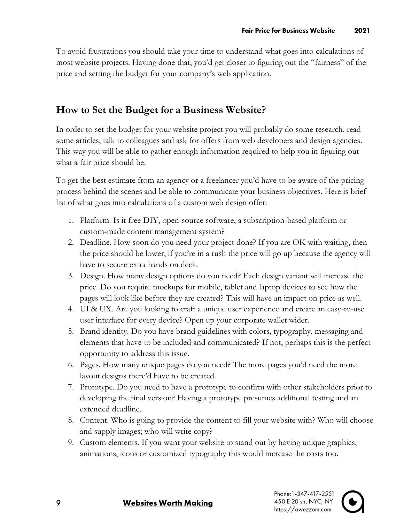To avoid frustrations you should take your time to understand what goes into calculations of most website projects. Having done that, you'd get closer to figuring out the "fairness" of the price and setting the budget for your company's web application.

#### **How to Set the Budget for a Business Website?**

In order to set the budget for your website project you will probably do some research, read some articles, talk to colleagues and ask for offers from web developers and design agencies. This way you will be able to gather enough information required to help you in figuring out what a fair price should be.

To get the best estimate from an agency or a freelancer you'd have to be aware of the pricing process behind the scenes and be able to communicate your business objectives. Here is brief list of what goes into calculations of a custom web design offer:

- 1. Platform. Is it free DIY, open-source software, a subscription-based platform or custom-made content management system?
- 2. Deadline. How soon do you need your project done? If you are OK with waiting, then the price should be lower, if you're in a rush the price will go up because the agency will have to secure extra hands on deck.
- 3. Design. How many design options do you need? Each design variant will increase the price. Do you require mockups for mobile, tablet and laptop devices to see how the pages will look like before they are created? This will have an impact on price as well.
- 4. UI & UX. Are you looking to craft a unique user experience and create an easy-to-use user interface for every device? Open up your corporate wallet wider.
- 5. Brand identity. Do you have brand guidelines with colors, typography, messaging and elements that have to be included and communicated? If not, perhaps this is the perfect opportunity to address this issue.
- 6. Pages. How many unique pages do you need? The more pages you'd need the more layout designs there'd have to be created.
- 7. Prototype. Do you need to have a prototype to confirm with other stakeholders prior to developing the final version? Having a prototype presumes additional testing and an extended deadline.
- 8. Content. Who is going to provide the content to fill your website with? Who will choose and supply images; who will write copy?
- 9. Custom elements. If you want your website to stand out by having unique graphics, animations, icons or customized typography this would increase the costs too.



#### **Websites Worth Making**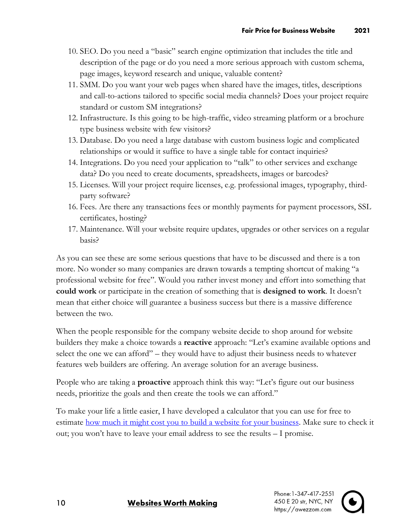- 10. SEO. Do you need a "basic" search engine optimization that includes the title and description of the page or do you need a more serious approach with custom schema, page images, keyword research and unique, valuable content?
- 11. SMM. Do you want your web pages when shared have the images, titles, descriptions and call-to-actions tailored to specific social media channels? Does your project require standard or custom SM integrations?
- 12. Infrastructure. Is this going to be high-traffic, video streaming platform or a brochure type business website with few visitors?
- 13. Database. Do you need a large database with custom business logic and complicated relationships or would it suffice to have a single table for contact inquiries?
- 14. Integrations. Do you need your application to "talk" to other services and exchange data? Do you need to create documents, spreadsheets, images or barcodes?
- 15. Licenses. Will your project require licenses, e.g. professional images, typography, thirdparty software?
- 16. Fees. Are there any transactions fees or monthly payments for payment processors, SSL certificates, hosting?
- 17. Maintenance. Will your website require updates, upgrades or other services on a regular basis?

As you can see these are some serious questions that have to be discussed and there is a ton more. No wonder so many companies are drawn towards a tempting shortcut of making "a professional website for free". Would you rather invest money and effort into something that **could work** or participate in the creation of something that is **designed to work**. It doesn't mean that either choice will guarantee a business success but there is a massive difference between the two.

When the people responsible for the company website decide to shop around for website builders they make a choice towards a **reactive** approach: "Let's examine available options and select the one we can afford" – they would have to adjust their business needs to whatever features web builders are offering. An average solution for an average business.

People who are taking a **proactive** approach think this way: "Let's figure out our business needs, prioritize the goals and then create the tools we can afford."

To make your life a little easier, I have developed a calculator that you can use for free to estimate [how much it might cost you to build a website for your business.](https://awezzom.com/tools/web-design-cost-calculator) Make sure to check it out; you won't have to leave your email address to see the results – I promise.